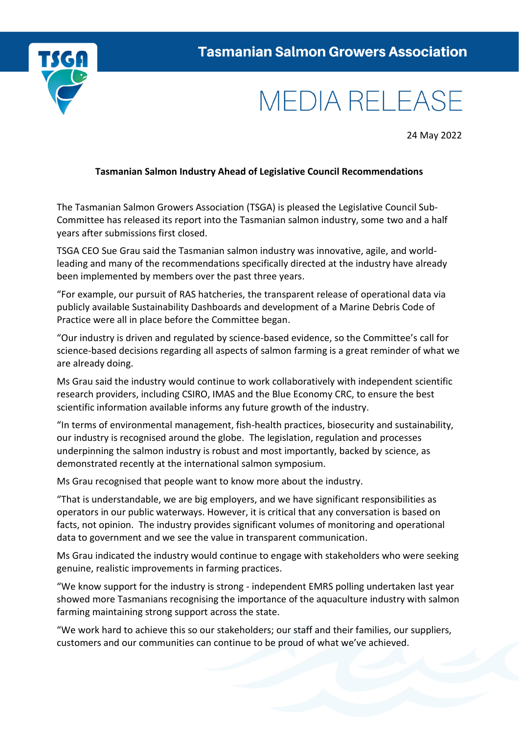

## **MEDIA RELEASE**

24 May 2022

## **Tasmanian Salmon Industry Ahead of Legislative Council Recommendations**

The Tasmanian Salmon Growers Association (TSGA) is pleased the Legislative Council Sub-Committee has released its report into the Tasmanian salmon industry, some two and a half years after submissions first closed.

TSGA CEO Sue Grau said the Tasmanian salmon industry was innovative, agile, and worldleading and many of the recommendations specifically directed at the industry have already been implemented by members over the past three years.

"For example, our pursuit of RAS hatcheries, the transparent release of operational data via publicly available Sustainability Dashboards and development of a Marine Debris Code of Practice were all in place before the Committee began.

"Our industry is driven and regulated by science-based evidence, so the Committee's call for science-based decisions regarding all aspects of salmon farming is a great reminder of what we are already doing.

Ms Grau said the industry would continue to work collaboratively with independent scientific research providers, including CSIRO, IMAS and the Blue Economy CRC, to ensure the best scientific information available informs any future growth of the industry.

"In terms of environmental management, fish-health practices, biosecurity and sustainability, our industry is recognised around the globe. The legislation, regulation and processes underpinning the salmon industry is robust and most importantly, backed by science, as demonstrated recently at the international salmon symposium.

Ms Grau recognised that people want to know more about the industry.

"That is understandable, we are big employers, and we have significant responsibilities as operators in our public waterways. However, it is critical that any conversation is based on facts, not opinion. The industry provides significant volumes of monitoring and operational data to government and we see the value in transparent communication.

Ms Grau indicated the industry would continue to engage with stakeholders who were seeking genuine, realistic improvements in farming practices.

"We know support for the industry is strong - independent EMRS polling undertaken last year showed more Tasmanians recognising the importance of the aquaculture industry with salmon farming maintaining strong support across the state.

"We work hard to achieve this so our stakeholders; our staff and their families, our suppliers, customers and our communities can continue to be proud of what we've achieved.